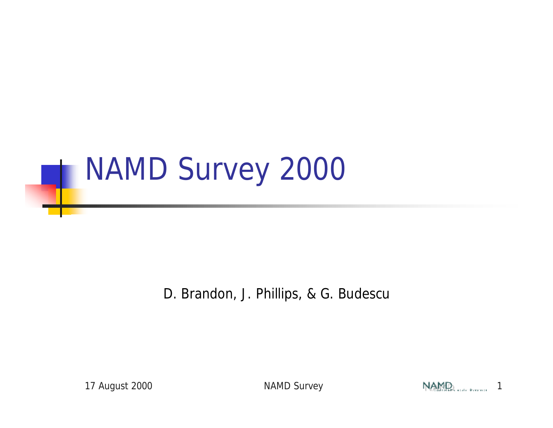

D. Brandon, J. Phillips, & G. Budescu

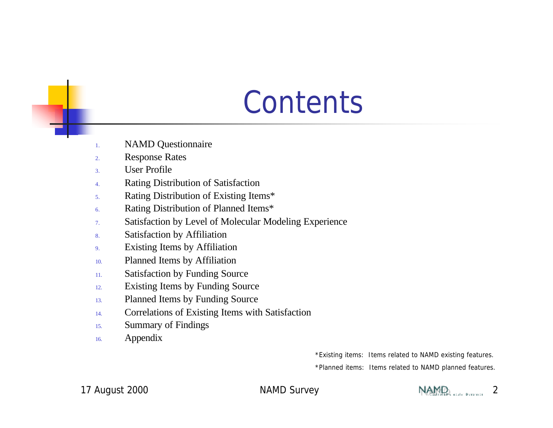## **Contents**

- 1. NAMD Questionnaire
- 2. Response Rates
- 3. User Profile
- 4. Rating Distribution of Satisfaction
- 5. Rating Distribution of Existing Items\*
- 6. Rating Distribution of Planned Items\*
- 7. Satisfaction by Level of Molecular Modeling Experience
- 8. Satisfaction by Affiliation
- 9. Existing Items by Affiliation
- 10. Planned Items by Affiliation
- 11. Satisfaction by Funding Source
- 12. Existing Items by Funding Source
- 13. Planned Items by Funding Source
- 14. Correlations of Existing Items with Satisfaction
- 15. Summary of Findings
- 16. Appendix

\*Existing items: Items related to NAMD existing features. \*Planned items: Items related to NAMD planned features.

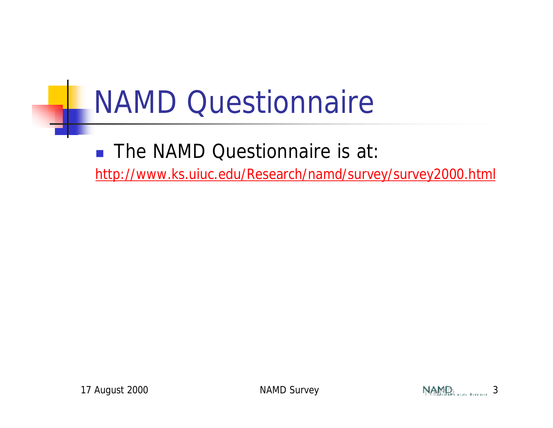# NAMD Questionnaire

■ The NAMD Questionnaire is at:

http://www.ks.uiuc.edu/Research/namd/survey/survey2000.html

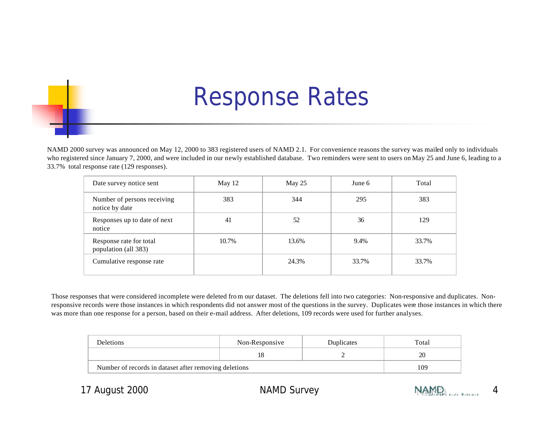### Response Rates

NAMD 2000 survey was announced on May 12, 2000 to 383 registered users of NAMD 2.1. For convenience reasons the survey was mailed only to individuals who registered since January 7, 2000, and were included in our newly established database. Two reminders were sent to users on May 25 and June 6, leading to a 33.7% total response rate (129 responses).

| Date survey notice sent                         | May 12 | May $25$ | June 6 | Total |
|-------------------------------------------------|--------|----------|--------|-------|
| Number of persons receiving<br>notice by date   | 383    | 344      | 295    | 383   |
| Responses up to date of next<br>notice          | 41     | 52       | 36     | 129   |
| Response rate for total<br>population (all 383) | 10.7%  | 13.6%    | 9.4%   | 33.7% |
| Cumulative response rate                        |        | 24.3%    | 33.7%  | 33.7% |

Those responses that were considered incomplete were deleted fro m our dataset. The deletions fell into two categories: Non-responsive and duplicates. Nonresponsive records were those instances in which respondents did not answer most of the questions in the survey. Duplicates were those instances in which there was more than one response for a person, based on their e-mail address. After deletions, 109 records were used for further analyses.

| Deletions                                             | Non-Responsive | Duplicates | Total |
|-------------------------------------------------------|----------------|------------|-------|
|                                                       |                |            | 20    |
| Number of records in dataset after removing deletions |                |            | 109   |

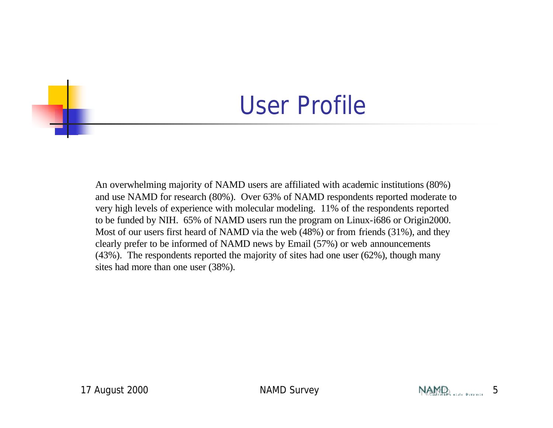#### User Profile

An overwhelming majority of NAMD users are affiliated with academic institutions (80%) and use NAMD for research (80%). Over 63% of NAMD respondents reported moderate to very high levels of experience with molecular modeling. 11% of the respondents reported to be funded by NIH. 65% of NAMD users run the program on Linux-i686 or Origin2000. Most of our users first heard of NAMD via the web (48%) or from friends (31%), and they clearly prefer to be informed of NAMD news by Email (57%) or web announcements (43%). The respondents reported the majority of sites had one user (62%), though many sites had more than one user (38%).

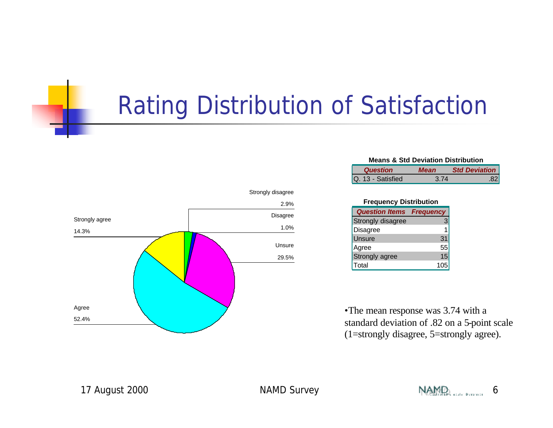### Rating Distribution of Satisfaction



| <b>Means &amp; Std Deviation Distribution</b> |             |                      |
|-----------------------------------------------|-------------|----------------------|
| <b>Question</b>                               | <b>Mean</b> | <b>Std Deviation</b> |
| Q. 13 - Satisfied                             | 3.74        | .82                  |

| <b>Frequency Distribution</b> |                  |  |
|-------------------------------|------------------|--|
| <b>Question Items</b>         | <b>Frequency</b> |  |
| <b>Strongly disagree</b>      |                  |  |
| Disagree                      |                  |  |
| Unsure                        | 3 <sub>1</sub>   |  |
| Agree                         | 55               |  |
| Strongly agree                | 15               |  |
| Total                         |                  |  |

•The mean response was 3.74 with a standard deviation of .82 on a 5-point scale (1=strongly disagree, 5=strongly agree).

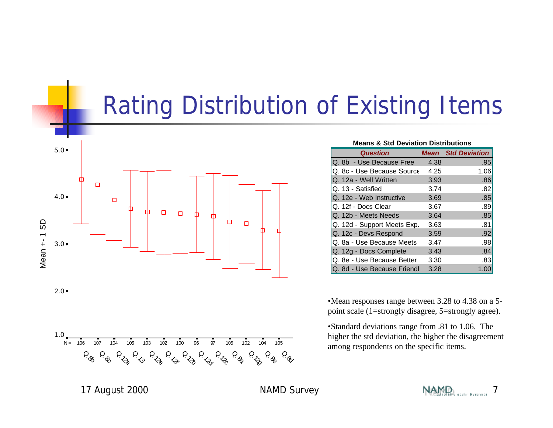#### Rating Distribution of Existing Items



| <b>Means &amp; Std Deviation Distributions</b> |      |                           |  |
|------------------------------------------------|------|---------------------------|--|
| <b>Question</b>                                |      | <b>Mean</b> Std Deviation |  |
| Q. 8b - Use Because Free                       | 4.38 | .95                       |  |
| Q. 8c - Use Because Source                     | 4.25 | 1.06                      |  |
| Q. 12a - Well Written                          | 3.93 | .86                       |  |
| Q. 13 - Satisfied                              | 3.74 | .82                       |  |
| Q. 12e - Web Instructive                       | 3.69 | .85                       |  |
| Q. 12f - Docs Clear                            | 3.67 | .89                       |  |
| Q. 12b - Meets Needs                           | 3.64 | .85                       |  |
| Q. 12d - Support Meets Exp.                    | 3.63 | .81                       |  |
| Q. 12c - Devs Respond                          | 3.59 | .92                       |  |
| Q. 8a - Use Because Meets                      | 3.47 | .98                       |  |
| Q. 12g - Docs Complete                         | 3.43 | .84                       |  |
| Q. 8e - Use Because Better                     | 3.30 | .83                       |  |
| Q. 8d - Use Because Friendl                    | 3.28 | 1.00                      |  |

•Mean responses range between 3.28 to 4.38 on a 5 point scale (1=strongly disagree, 5=strongly agree).

•Standard deviations range from .81 to 1.06. The higher the std deviation, the higher the disagreement among respondents on the specific items.

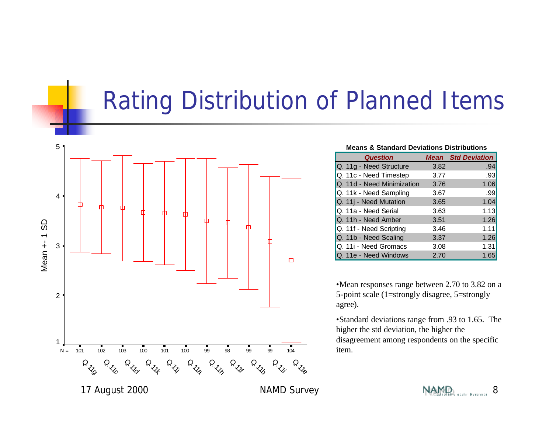### Rating Distribution of Planned Items



| <b>Means &amp; Standard Deviations Distributions</b> |      |                           |  |
|------------------------------------------------------|------|---------------------------|--|
| <b>Question</b>                                      |      | <b>Mean</b> Std Deviation |  |
| Q. 11g - Need Structure                              | 3.82 | .94                       |  |
| Q. 11c - Need Timestep                               | 3.77 | .93                       |  |
| Q. 11d - Need Minimization                           | 3.76 | 1.06                      |  |
| Q. 11k - Need Sampling                               | 3.67 | .99                       |  |
| Q. 11j - Need Mutation                               | 3.65 | 1.04                      |  |
| Q. 11a - Need Serial                                 | 3.63 | 1.13                      |  |
| Q. 11h - Need Amber                                  | 3.51 | 1.26                      |  |
| Q. 11f - Need Scripting                              | 3.46 | 1.11                      |  |
| Q. 11b - Need Scaling                                | 3.37 | 1.26                      |  |
| Q. 11i - Need Gromacs                                | 3.08 | 1.31                      |  |
| Q. 11e - Need Windows                                | 2.70 | 1.65                      |  |

•Mean responses range between 2.70 to 3.82 on a 5-point scale (1=strongly disagree, 5=strongly agree).

•Standard deviations range from .93 to 1.65. The higher the std deviation, the higher the disagreement among respondents on the specific item.



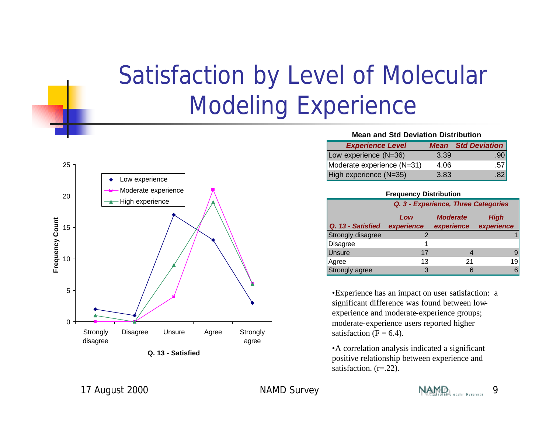## Satisfaction by Level of Molecular Modeling Experience



**Q. 13 - Satisfied**

| <b>Mean and Std Deviation Distribution</b> |                |
|--------------------------------------------|----------------|
| Exnerience Level                           | Mean Std Devis |

| <b>Experience Level</b>    |      | <b>Mean</b> Std Deviation |
|----------------------------|------|---------------------------|
| Low experience (N=36)      | 3.39 | .90 <sub>1</sub>          |
| Moderate experience (N=31) | 4.06 | .57 <sub>1</sub>          |
| High experience (N=35)     | 3.83 | .82                       |

**Frequency Distribution**

|                   | Q. 3 - Experience, Three Categories |            |            |
|-------------------|-------------------------------------|------------|------------|
|                   | <b>Moderate</b><br>Low              |            | High       |
| Q. 13 - Satisfied | experience                          | experience | experience |
| Strongly disagree |                                     |            |            |
| <b>Disagree</b>   |                                     |            |            |
| Unsure            | 17                                  |            |            |
| Agree             | 13                                  | 21         | 19         |
| Strongly agree    | 3                                   | 6          |            |

•Experience has an impact on user satisfaction: a significant difference was found between lowexperience and moderate-experience groups; moderate-experience users reported higher satisfaction  $(F = 6.4)$ .

•A correlation analysis indicated a significant positive relationship between experience and satisfaction. (r=.22).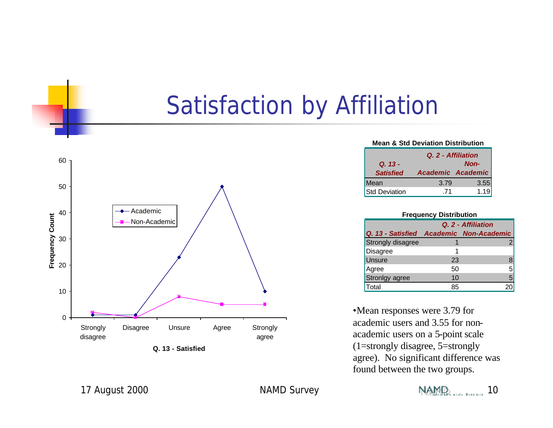### Satisfaction by Affiliation



**Q. 13 - Satisfied**

| <b>Mean &amp; Std Deviation Distribution</b> |                   |      |
|----------------------------------------------|-------------------|------|
| Q. 2 - Affiliation                           |                   |      |
| <b>Non-</b><br>$Q. 13 -$                     |                   |      |
| <b>Satisfied</b>                             | Academic Academic |      |
| Mean                                         | 3.79              | 3.55 |
| <b>Std Deviation</b>                         | -71               | 1.19 |

| <b>Frequency Distribution</b> |                                         |   |  |  |
|-------------------------------|-----------------------------------------|---|--|--|
|                               | Q. 2 - Affiliation                      |   |  |  |
|                               | Q. 13 - Satisfied Academic Non-Academic |   |  |  |
| Strongly disagree             |                                         |   |  |  |
| <b>Disagree</b>               | 1                                       |   |  |  |
| Unsure                        | 23                                      |   |  |  |
| Agree                         | 50                                      | 5 |  |  |
| Stronlgy agree                | 10                                      | 5 |  |  |
| Total                         | 85                                      |   |  |  |

•Mean responses were 3.79 for academic users and 3.55 for nonacademic users on a 5-point scale (1=strongly disagree, 5=strongly agree). No significant difference was found between the two groups.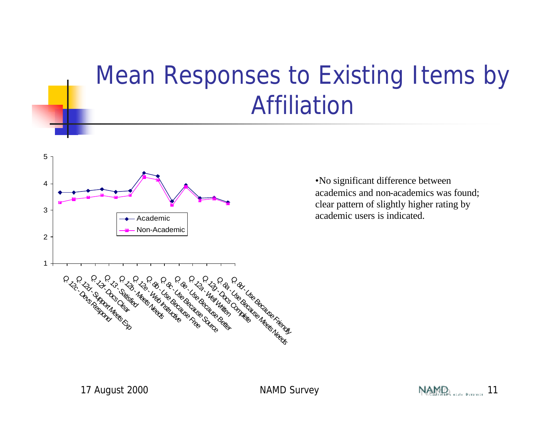## Mean Responses to Existing Items by Affiliation



•No significant difference between academics and non-academics was found; clear pattern of slightly higher rating by academic users is indicated.

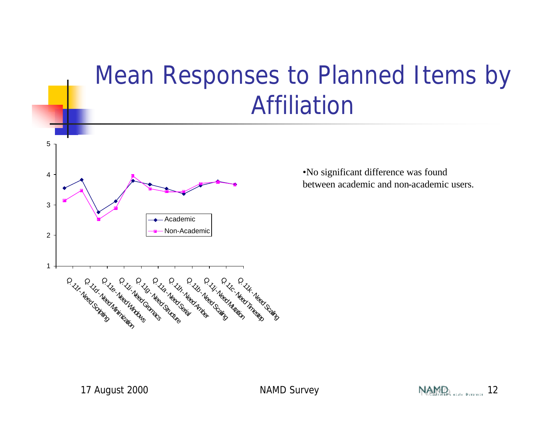### Mean Responses to Planned Items by Affiliation



•No significant difference was found between academic and non-academic users.

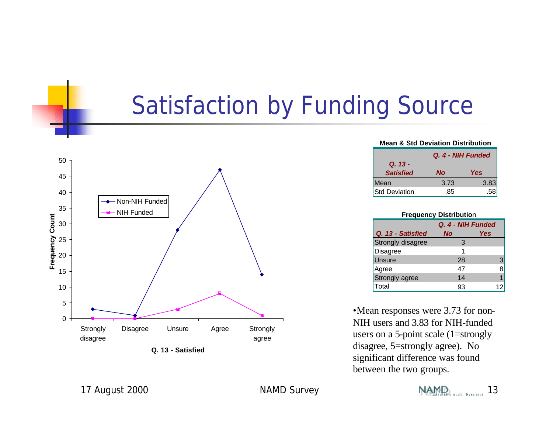#### Satisfaction by Funding Source



**Q. 13 - Satisfied**

| <b>Mean &amp; Std Deviation Distribution</b> |      |      |
|----------------------------------------------|------|------|
| Q. 4 - NIH Funded                            |      |      |
| Q. 13 -                                      |      |      |
| <b>Satisfied</b>                             | Nο   | Yes  |
| Mean                                         | 3.73 | 3.83 |
| <b>Std Deviation</b>                         | 85   |      |

| <b>Frequency Distribution</b> |           |     |  |  |  |  |  |  |  |
|-------------------------------|-----------|-----|--|--|--|--|--|--|--|
| Q. 4 - NIH Funded             |           |     |  |  |  |  |  |  |  |
| Q. 13 - Satisfied             | <b>No</b> | Yes |  |  |  |  |  |  |  |
| Strongly disagree             | З         |     |  |  |  |  |  |  |  |
| Disagree                      |           |     |  |  |  |  |  |  |  |
| Unsure                        | 28        | 3   |  |  |  |  |  |  |  |
| Agree                         | 47        |     |  |  |  |  |  |  |  |
| Strongly agree                | 14        |     |  |  |  |  |  |  |  |
| Total                         | 93        |     |  |  |  |  |  |  |  |

•Mean responses were 3.73 for non-NIH users and 3.83 for NIH-funded users on a 5-point scale (1=strongly disagree, 5=strongly agree). No significant difference was found between the two groups.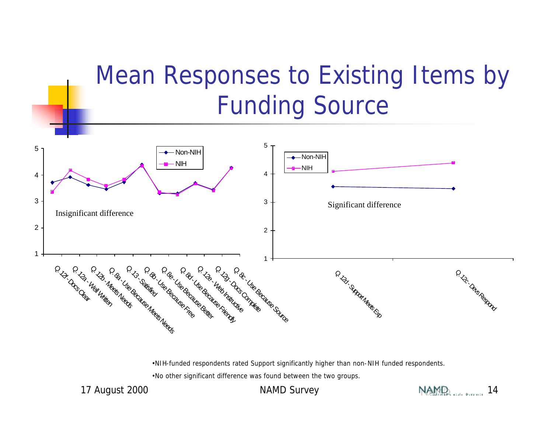## Mean Responses to Existing Items by Funding Source



•NIH-funded respondents rated Support significantly higher than non-NIH funded respondents.

•No other significant difference was found between the two groups.



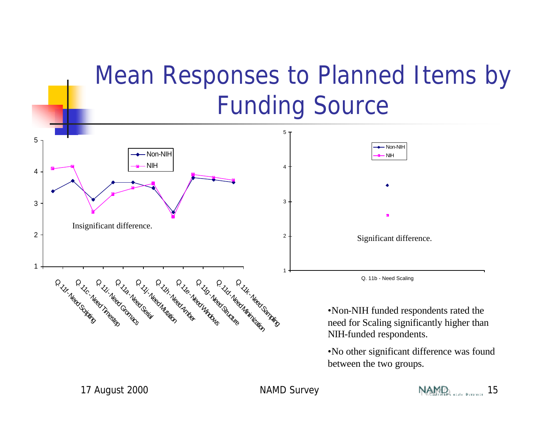### Mean Responses to Planned Items by Funding Source



between the two groups.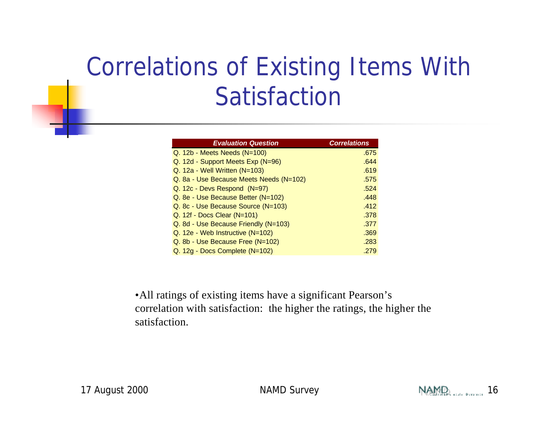## Correlations of Existing Items With Satisfaction

| <b>Evaluation Question</b>              | <b>Correlations</b> |
|-----------------------------------------|---------------------|
| $Q. 12b$ - Meets Needs (N=100)          | .675                |
| Q. 12d - Support Meets Exp (N=96)       | .644                |
| $Q. 12a - Well Written (N=103)$         | .619                |
| Q. 8a - Use Because Meets Needs (N=102) | .575                |
| Q. 12c - Devs Respond (N=97)            | .524                |
| Q. 8e - Use Because Better (N=102)      | .448                |
| Q. 8c - Use Because Source (N=103)      | .412                |
| $Q. 12f - Does Clear (N=101)$           | .378                |
| Q. 8d - Use Because Friendly (N=103)    | .377                |
| $Q. 12e - Web Institute (N=102)$        | .369                |
| Q. 8b - Use Because Free (N=102)        | .283                |
| Q. 12g - Docs Complete (N=102)          | .279                |

•All ratings of existing items have a significant Pearson's correlation with satisfaction: the higher the ratings, the higher the satisfaction.

![](_page_15_Picture_5.jpeg)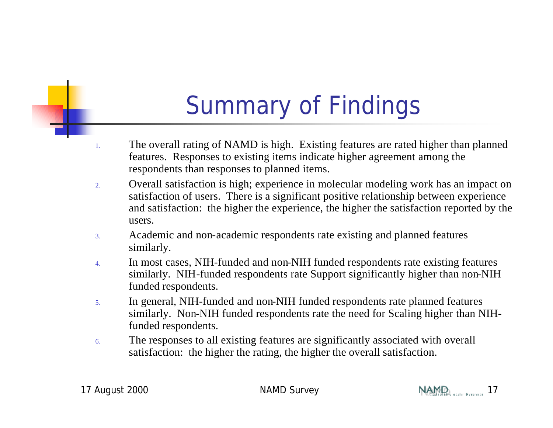## Summary of Findings

- 1. The overall rating of NAMD is high. Existing features are rated higher than planned features. Responses to existing items indicate higher agreement among the respondents than responses to planned items.
- 2. Overall satisfaction is high; experience in molecular modeling work has an impact on satisfaction of users. There is a significant positive relationship between experience and satisfaction: the higher the experience, the higher the satisfaction reported by the users.
- 3. Academic and non-academic respondents rate existing and planned features similarly.
- 4. In most cases, NIH-funded and non-NIH funded respondents rate existing features similarly. NIH-funded respondents rate Support significantly higher than non-NIH funded respondents.
- 5. In general, NIH-funded and non-NIH funded respondents rate planned features similarly. Non-NIH funded respondents rate the need for Scaling higher than NIHfunded respondents.
- 6. The responses to all existing features are significantly associated with overall satisfaction: the higher the rating, the higher the overall satisfaction.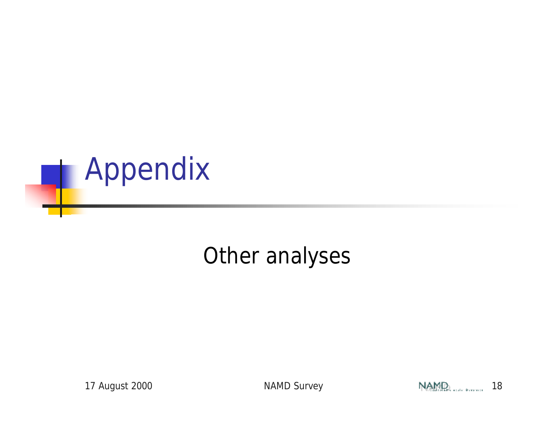![](_page_17_Picture_0.jpeg)

#### Other analyses

![](_page_17_Picture_4.jpeg)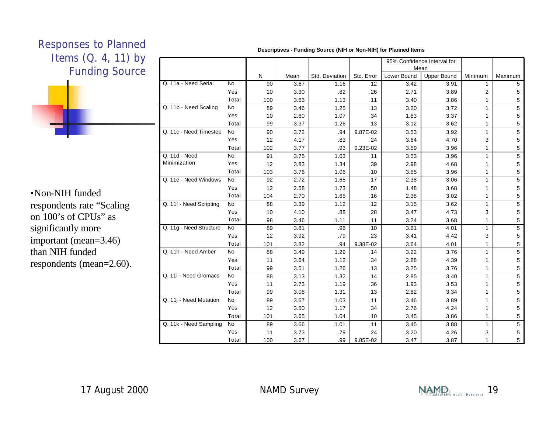![](_page_18_Figure_0.jpeg)

•Non-NIH funded respondents rate "Scaling on 100's of CPUs" as significantly more important (mean=3.46) than NIH funded respondents (mean=2.60).

|                         |           |     |      |                |            | 95% Confidence Interval for |                    |                |                |
|-------------------------|-----------|-----|------|----------------|------------|-----------------------------|--------------------|----------------|----------------|
|                         |           |     |      |                |            | Mean                        |                    |                |                |
|                         |           | N   | Mean | Std. Deviation | Std. Error | Lower Bound                 | <b>Upper Bound</b> | Minimum        | Maximum        |
| Q. 11a - Need Serial    | <b>No</b> | 90  | 3.67 | 1.16           | .12        | 3.42                        | 3.91               | $\mathbf{1}$   | 5              |
|                         | Yes       | 10  | 3.30 | .82            | .26        | 2.71                        | 3.89               | $\overline{2}$ | 5              |
|                         | Total     | 100 | 3.63 | 1.13           | .11        | 3.40                        | 3.86               | 1              | 5              |
| Q. 11b - Need Scaling   | <b>No</b> | 89  | 3.46 | 1.25           | .13        | 3.20                        | 3.72               | 1              | 5              |
|                         | Yes       | 10  | 2.60 | 1.07           | .34        | 1.83                        | 3.37               | 1              | 5              |
|                         | Total     | 99  | 3.37 | 1.26           | .13        | 3.12                        | 3.62               | 1              | 5              |
| Q. 11c - Need Timestep  | <b>No</b> | 90  | 3.72 | .94            | 9.87E-02   | 3.53                        | 3.92               | 1              | 5              |
|                         | Yes       | 12  | 4.17 | .83            | .24        | 3.64                        | 4.70               | 3              | 5              |
|                         | Total     | 102 | 3.77 | .93            | 9.23E-02   | 3.59                        | 3.96               | 1              | 5              |
| Q. 11d - Need           | <b>No</b> | 91  | 3.75 | 1.03           | .11        | 3.53                        | 3.96               | $\mathbf{1}$   | 5              |
| Minimization            | Yes       | 12  | 3.83 | 1.34           | .39        | 2.98                        | 4.68               | $\mathbf{1}$   | 5              |
|                         | Total     | 103 | 3.76 | 1.06           | .10        | 3.55                        | 3.96               | $\mathbf{1}$   | 5              |
| Q. 11e - Need Windows   | <b>No</b> | 92  | 2.72 | 1.65           | .17        | 2.38                        | 3.06               | $\mathbf{1}$   | $\overline{5}$ |
|                         | Yes       | 12  | 2.58 | 1.73           | .50        | 1.48                        | 3.68               | 1              | 5              |
|                         | Total     | 104 | 2.70 | 1.65           | .16        | 2.38                        | 3.02               | $\mathbf{1}$   | 5              |
| Q. 11f - Need Scripting | <b>No</b> | 88  | 3.39 | 1.12           | .12        | 3.15                        | 3.62               | $\mathbf{1}$   | 5              |
|                         | Yes       | 10  | 4.10 | .88            | .28        | 3.47                        | 4.73               | 3              | 5              |
|                         | Total     | 98  | 3.46 | 1.11           | .11        | 3.24                        | 3.68               | $\mathbf{1}$   | 5              |
| Q. 11g - Need Structure | <b>No</b> | 89  | 3.81 | .96            | .10        | 3.61                        | 4.01               | 1              | $\overline{5}$ |
|                         | Yes       | 12  | 3.92 | .79            | .23        | 3.41                        | 4.42               | 3              | 5              |
|                         | Total     | 101 | 3.82 | .94            | 9.38E-02   | 3.64                        | 4.01               | 1              | 5              |
| Q. 11h - Need Amber     | <b>No</b> | 88  | 3.49 | 1.29           | .14        | 3.22                        | 3.76               | $\mathbf{1}$   | 5              |
|                         | Yes       | 11  | 3.64 | 1.12           | .34        | 2.88                        | 4.39               | 1              | 5              |
|                         | Total     | 99  | 3.51 | 1.26           | .13        | 3.25                        | 3.76               | 1              | 5              |
| Q. 11i - Need Gromacs   | <b>No</b> | 88  | 3.13 | 1.32           | .14        | 2.85                        | 3.40               | $\mathbf{1}$   | 5              |
|                         | Yes       | 11  | 2.73 | 1.19           | .36        | 1.93                        | 3.53               | 1              | 5              |
|                         | Total     | 99  | 3.08 | 1.31           | .13        | 2.82                        | 3.34               | 1              | 5              |
| Q. 11j - Need Mutation  | <b>No</b> | 89  | 3.67 | 1.03           | .11        | 3.46                        | 3.89               | 1              | 5              |
|                         | Yes       | 12  | 3.50 | 1.17           | .34        | 2.76                        | 4.24               | 1              | 5              |
|                         | Total     | 101 | 3.65 | 1.04           | .10        | 3.45                        | 3.86               | 1              | 5              |
| Q. 11k - Need Sampling  | No        | 89  | 3.66 | 1.01           | .11        | 3.45                        | 3.88               | $\mathbf{1}$   | 5              |
|                         | Yes       | 11  | 3.73 | .79            | .24        | 3.20                        | 4.26               | 3              | 5              |
|                         | Total     | 100 | 3.67 | .99            | 9.85E-02   | 3.47                        | 3.87               | 1              | 5              |

**Descriptives - Funding Source (NIH or Non-NIH) for Planned Items**

![](_page_18_Picture_6.jpeg)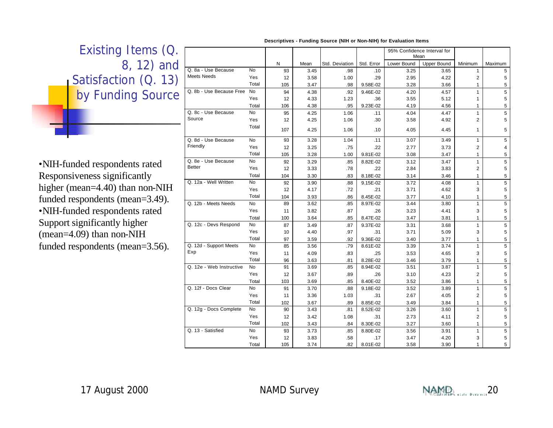#### Existing Items (Q. [ 8, 12) and Satisfaction (Q. 13) by Funding Source •NIH-funded respondents rated **Descriptives - Funding Source (NIH or Non-NIH) for Evaluation Items** 93 | 3.45 | .98 | .10 | 3.25 | 3.65 | 1 | 5 12 | 3.58 | 1.00 | 2.9 | 2.95 | 4.22 | 2 | 5 105 | 3.47 | .98 | 9.58E-02 | 3.28 | 3.66 | 1 | 5 94 | 4.38 | .92 | 9.46E-02 | 4.20 | 4.57 | 1 | 5 12 | 4.33 | 1.23 | 3.36 | 3.55 | 5.12 | 1 | 5 106 | 4.38 | .95 | 9.23E-02 | 4.19 | 4.56 | 1 | 5 95 | 4.25 | 1.06 | .11 | 4.04 | 4.47 | 1 | 5 12 | 4.25 | 1.06 | .30 | 3.58 | 4.92 | 2 | 5 107 | 4.25 | 1.06 | 10 | 4.05 | 4.45 | 1 | 5 93 | 3.28 | 1.04 | .11 | 3.07 | 3.49 | 1 | 5 12 | 3.25 | 3.75 | 3.22 | 2.77 | 3.73 | 2.73 | 2.1 105 | 3.28 | 1.00 | 9.81E-02 | 3.08 | 3.47 | 1 | 5 92 | 3.29 | .85 | 8.82E-02 | 3.12 | 3.47 | 1 | 5 12 | 3.33 | 78 | 22 | 2.84 | 3.83 | 2 | 5 No Yes Total No Yes Total No Yes Total No Yes Total No Yes Q. 8a - Use Because Meets Needs Q. 8b - Use Because Free Q. 8c - Use Because Source Q. 8d - Use Because Friendly Q. 8e - Use Because Better N | Mean | Std. Deviation | Std. Error | Lower Bound | Upper Bound 95% Confidence Interval for Mean Minimum Maximum

Responsiveness significantly higher (mean=4.40) than non-NIH funded respondents (mean=3.49). •NIH-funded respondents rated Support significantly higher (mean=4.09) than non-NIH funded respondents (mean=3.56).

|                             |                | N   | Mean | Std. Deviation | Std. Error | Lower Bound | <b>Upper Bound</b> | Minimum        | Maximum                 |
|-----------------------------|----------------|-----|------|----------------|------------|-------------|--------------------|----------------|-------------------------|
| Q. 8a - Use Because         | <b>No</b>      | 93  | 3.45 | .98            | .10        | 3.25        | 3.65               | $\mathbf{1}$   | 5                       |
| <b>Meets Needs</b>          | Yes            | 12  | 3.58 | 1.00           | .29        | 2.95        | 4.22               | $\overline{2}$ | 5                       |
|                             | Total          | 105 | 3.47 | .98            | 9.58E-02   | 3.28        | 3.66               | $\mathbf{1}$   | 5                       |
| Q. 8b - Use Because Free No |                | 94  | 4.38 | .92            | 9.46E-02   | 4.20        | 4.57               | $\mathbf{1}$   | 5                       |
|                             | Yes            | 12  | 4.33 | 1.23           | .36        | 3.55        | 5.12               | $\mathbf{1}$   | 5                       |
|                             | Total          | 106 | 4.38 | .95            | 9.23E-02   | 4.19        | 4.56               | 1              | 5                       |
| Q. 8c - Use Because         | <b>No</b>      | 95  | 4.25 | 1.06           | .11        | 4.04        | 4.47               | $\mathbf{1}$   | 5                       |
| Source                      | Yes            | 12  | 4.25 | 1.06           | .30        | 3.58        | 4.92               | $\overline{2}$ | 5                       |
|                             | Total          | 107 | 4.25 | 1.06           | .10        | 4.05        | 4.45               | $\mathbf{1}$   | 5                       |
| Q. 8d - Use Because         | No             | 93  | 3.28 | 1.04           | .11        | 3.07        | 3.49               | 1              | 5                       |
| Friendly                    | Yes            | 12  | 3.25 | .75            | .22        | 2.77        | 3.73               | $\overline{2}$ | 4                       |
|                             | Total          | 105 | 3.28 | 1.00           | 9.81E-02   | 3.08        | 3.47               | 1              | 5                       |
| Q. 8e - Use Because         | No             | 92  | 3.29 | .85            | 8.82E-02   | 3.12        | 3.47               | $\mathbf{1}$   | 5                       |
| <b>Better</b>               | Yes            | 12  | 3.33 | .78            | .22        | 2.84        | 3.83               | 2              | 5                       |
|                             | Total          | 104 | 3.30 | .83            | 8.18E-02   | 3.14        | 3.46               | 1              | 5                       |
| Q. 12a - Well Written       | $\overline{N}$ | 92  | 3.90 | .88            | 9.15E-02   | 3.72        | 4.08               | $\mathbf{1}$   | $\overline{5}$          |
|                             | Yes            | 12  | 4.17 | .72            | .21        | 3.71        | 4.62               | 3              | 5                       |
|                             | Total          | 104 | 3.93 | .86            | 8.45E-02   | 3.77        | 4.10               | $\mathbf{1}$   | 5                       |
| Q. 12b - Meets Needs        | <b>No</b>      | 89  | 3.62 | .85            | 8.97E-02   | 3.44        | 3.80               | $\mathbf{1}$   | 5                       |
|                             | Yes            | 11  | 3.82 | .87            | .26        | 3.23        | 4.41               | 3              | 5                       |
|                             | Total          | 100 | 3.64 | .85            | 8.47E-02   | 3.47        | 3.81               | $\mathbf{1}$   | 5                       |
| Q. 12c - Devs Respond       | No             | 87  | 3.49 | .87            | 9.37E-02   | 3.31        | 3.68               | 1              | 5                       |
|                             | Yes            | 10  | 4.40 | .97            | .31        | 3.71        | 5.09               | 3              | 5                       |
|                             | Total          | 97  | 3.59 | .92            | 9.36E-02   | 3.40        | 3.77               | $\mathbf{1}$   | 5                       |
| Q. 12d - Support Meets      | <b>No</b>      | 85  | 3.56 | .79            | 8.61E-02   | 3.39        | 3.74               | $\mathbf{1}$   | $\overline{\mathbf{5}}$ |
| Exp                         | Yes            | 11  | 4.09 | .83            | .25        | 3.53        | 4.65               | 3              | 5                       |
|                             | Total          | 96  | 3.63 | .81            | 8.28E-02   | 3.46        | 3.79               | $\mathbf{1}$   | 5                       |
| Q. 12e - Web Instructive    | <b>No</b>      | 91  | 3.69 | .85            | 8.94E-02   | 3.51        | 3.87               | $\mathbf{1}$   | 5                       |
|                             | Yes            | 12  | 3.67 | .89            | .26        | 3.10        | 4.23               | 2              | 5                       |
|                             | Total          | 103 | 3.69 | .85            | 8.40E-02   | 3.52        | 3.86               | $\mathbf{1}$   | 5                       |
| Q. 12f - Docs Clear         | No             | 91  | 3.70 | .88            | 9.18E-02   | 3.52        | 3.89               | $\mathbf{1}$   | 5                       |
|                             | Yes            | 11  | 3.36 | 1.03           | .31        | 2.67        | 4.05               | $\overline{c}$ | 5                       |
|                             | Total          | 102 | 3.67 | .89            | 8.85E-02   | 3.49        | 3.84               | $\mathbf{1}$   | 5                       |
| Q. 12g - Docs Complete      | No             | 90  | 3.43 | .81            | 8.52E-02   | 3.26        | 3.60               | $\mathbf{1}$   | $\overline{\mathbf{5}}$ |
|                             | Yes            | 12  | 3.42 | 1.08           | .31        | 2.73        | 4.11               | 2              | 5                       |
|                             | Total          | 102 | 3.43 | .84            | 8.30E-02   | 3.27        | 3.60               | $\mathbf{1}$   | 5                       |
| Q. 13 - Satisfied           | <b>No</b>      | 93  | 3.73 | .85            | 8.80E-02   | 3.56        | 3.91               | $\mathbf{1}$   | 5                       |
|                             | Yes            | 12  | 3.83 | .58            | .17        | 3.47        | 4.20               | 3              | 5                       |
|                             | Total          | 105 | 3.74 | .82            | 8.01E-02   | 3.58        | 3.90               | 1              | 5                       |

![](_page_19_Picture_5.jpeg)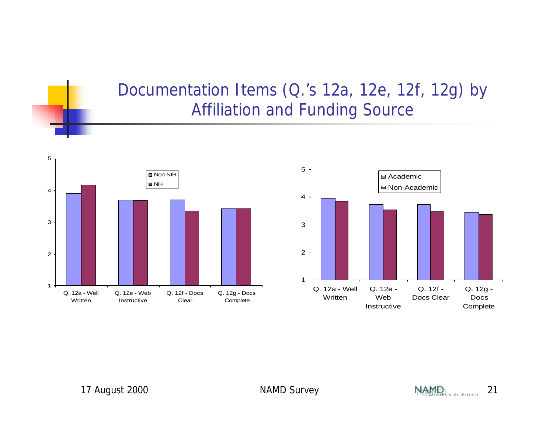#### Documentation Items (Q.'s 12a, 12e, 12f, 12g) by Affiliation and Funding Source

![](_page_20_Figure_1.jpeg)

![](_page_20_Figure_2.jpeg)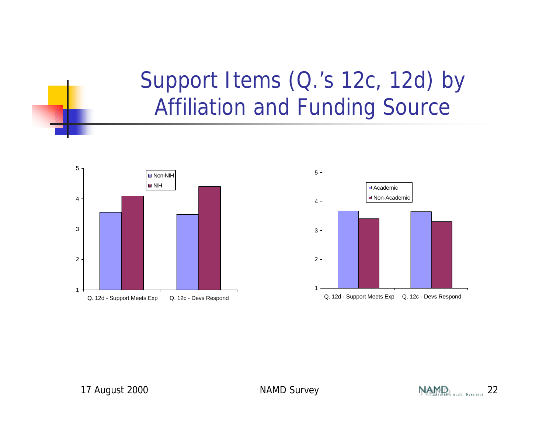#### Support Items (Q.'s 12c, 12d) by Affiliation and Funding Source

![](_page_21_Figure_1.jpeg)

![](_page_21_Figure_2.jpeg)

![](_page_21_Picture_5.jpeg)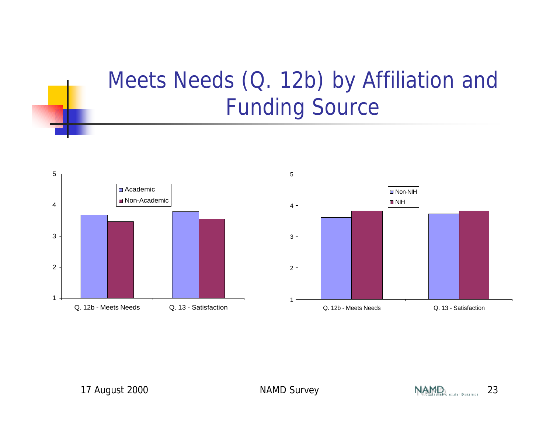#### Meets Needs (Q. 12b) by Affiliation and Funding Source

![](_page_22_Figure_1.jpeg)

![](_page_22_Figure_2.jpeg)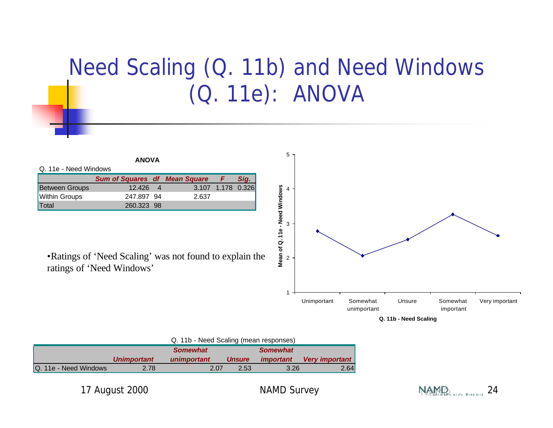#### Need Scaling (Q. 11b) and Need Windows (Q. 11e): ANOVA

![](_page_23_Figure_1.jpeg)

|                       | <b>Unimportant</b> | unimportant | <b>Unsure</b> | <i>important</i> | Very important |
|-----------------------|--------------------|-------------|---------------|------------------|----------------|
| Q. 11e - Need Windows | 2.78               | 2.07        | 2.53          | 3.26             | 2.64           |

![](_page_23_Picture_5.jpeg)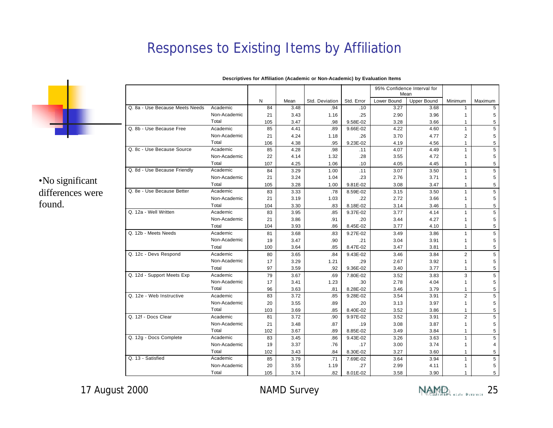#### Responses to Existing Items by Affiliation

![](_page_24_Picture_1.jpeg)

•No significant differences were found.

|                                 |              |           |              |                |                 | 95% Confidence Interval for<br>Mean |                                   |                         |         |
|---------------------------------|--------------|-----------|--------------|----------------|-----------------|-------------------------------------|-----------------------------------|-------------------------|---------|
|                                 |              | N         | Mean         | Std. Deviation | Std. Error      |                                     | Lower Bound<br><b>Upper Bound</b> |                         | Maximum |
| Q. 8a - Use Because Meets Needs | Academic     | 84        | 3.48         | .94            | .10             | 3.27                                | 3.68                              | Minimum<br>$\mathbf{1}$ | 5       |
|                                 | Non-Academic |           |              |                |                 |                                     |                                   | $\mathbf{1}$            |         |
|                                 | Total        | 21<br>105 | 3.43<br>3.47 | 1.16<br>.98    | .25<br>9.58E-02 | 2.90<br>3.28                        | 3.96<br>3.66                      | $\mathbf{1}$            | 5<br>5  |
| Q. 8b - Use Because Free        | Academic     | 85        | 4.41         | .89            | 9.66E-02        | 4.22                                | 4.60                              | $\mathbf{1}$            | 5       |
|                                 | Non-Academic |           |              |                |                 |                                     |                                   |                         | 5       |
|                                 | Total        | 21<br>106 | 4.24<br>4.38 | 1.18<br>.95    | .26<br>9.23E-02 | 3.70<br>4.19                        | 4.77<br>4.56                      | 2<br>$\mathbf{1}$       | 5       |
| Q. 8c - Use Because Source      | Academic     | 85        | 4.28         | .98            | .11             | 4.07                                | 4.49                              | $\mathbf{1}$            | 5       |
|                                 | Non-Academic | 22        | 4.14         | 1.32           | .28             | 3.55                                | 4.72                              | $\mathbf{1}$            | 5       |
|                                 | Total        | 107       | 4.25         | 1.06           | .10             | 4.05                                | 4.45                              | $\mathbf{1}$            | 5       |
| Q. 8d - Use Because Friendly    | Academic     | 84        | 3.29         | 1.00           | .11             | 3.07                                | 3.50                              | $\mathbf{1}$            | 5       |
|                                 | Non-Academic | 21        | 3.24         | 1.04           | .23             | 2.76                                | 3.71                              | $\mathbf{1}$            | 5       |
|                                 | Total        | 105       | 3.28         | 1.00           | 9.81E-02        | 3.08                                | 3.47                              | $\mathbf{1}$            | 5       |
| Q. 8e - Use Because Better      | Academic     | 83        | 3.33         | .78            | 8.59E-02        | 3.15                                | 3.50                              | $\mathbf{1}$            | 5       |
|                                 | Non-Academic | 21        | 3.19         | 1.03           | .22             | 2.72                                | 3.66                              | $\mathbf{1}$            | 5       |
|                                 | Total        | 104       | 3.30         | .83            | 8.18E-02        | 3.14                                | 3.46                              | $\mathbf{1}$            | 5       |
| Q. 12a - Well Written           | Academic     | 83        | 3.95         | .85            | 9.37E-02        | 3.77                                | 4.14                              | $\mathbf{1}$            | 5       |
|                                 | Non-Academic | 21        | 3.86         | .91            | .20             | 3.44                                | 4.27                              | $\mathbf{1}$            | 5       |
|                                 | Total        | 104       | 3.93         | .86            | 8.45E-02        | 3.77                                | 4.10                              | $\mathbf{1}$            | 5       |
| Q. 12b - Meets Needs            | Academic     | 81        | 3.68         | .83            | 9.27E-02        | 3.49                                | 3.86                              | $\mathbf{1}$            | 5       |
|                                 | Non-Academic | 19        | 3.47         | .90            | .21             | 3.04                                | 3.91                              | $\mathbf{1}$            | 5       |
|                                 | Total        | 100       | 3.64         | .85            | 8.47E-02        | 3.47                                | 3.81                              | $\mathbf{1}$            | 5       |
| Q. 12c - Devs Respond           | Academic     | 80        | 3.65         | .84            | 9.43E-02        | 3.46                                | 3.84                              | $\overline{2}$          | 5       |
|                                 | Non-Academic | 17        | 3.29         | 1.21           | .29             | 2.67                                | 3.92                              | $\mathbf{1}$            | 5       |
|                                 | Total        | 97        | 3.59         | .92            | 9.36E-02        | 3.40                                | 3.77                              | $\mathbf{1}$            | 5       |
| Q. 12d - Support Meets Exp      | Academic     | 79        | 3.67         | .69            | 7.80E-02        | 3.52                                | 3.83                              | 3                       | 5       |
|                                 | Non-Academic | 17        | 3.41         | 1.23           | .30             | 2.78                                | 4.04                              | $\mathbf{1}$            | 5       |
|                                 | Total        | 96        | 3.63         | .81            | 8.28E-02        | 3.46                                | 3.79                              | 1                       | 5       |
| Q. 12e - Web Instructive        | Academic     | 83        | 3.72         | .85            | 9.28E-02        | 3.54                                | 3.91                              | $\overline{2}$          | 5       |
|                                 | Non-Academic | 20        | 3.55         | .89            | .20             | 3.13                                | 3.97                              | $\mathbf{1}$            | 5       |
|                                 | Total        | 103       | 3.69         | .85            | 8.40E-02        | 3.52                                | 3.86                              | $\mathbf{1}$            | 5       |
| Q. 12f - Docs Clear             | Academic     | 81        | 3.72         | .90            | 9.97E-02        | 3.52                                | 3.91                              | $\overline{2}$          | 5       |
|                                 | Non-Academic | 21        | 3.48         | .87            | .19             | 3.08                                | 3.87                              | $\mathbf{1}$            | 5       |
|                                 | Total        | 102       | 3.67         | .89            | 8.85E-02        | 3.49                                | 3.84                              | $\mathbf{1}$            | 5       |
| Q. 12g - Docs Complete          | Academic     | 83        | 3.45         | .86            | 9.43E-02        | 3.26                                | 3.63                              | $\mathbf{1}$            | 5       |
|                                 | Non-Academic | 19        | 3.37         | .76            | .17             | 3.00                                | 3.74                              | $\mathbf{1}$            | 4       |
|                                 | Total        | 102       | 3.43         | .84            | 8.30E-02        | 3.27                                | 3.60                              | $\mathbf{1}$            | 5       |
| Q. 13 - Satisfied               | Academic     | 85        | 3.79         | .71            | 7.69E-02        | 3.64                                | 3.94                              | $\mathbf{1}$            | 5       |
|                                 | Non-Academic | 20        | 3.55         | 1.19           | .27             | 2.99                                | 4.11                              | $\mathbf{1}$            | 5       |
|                                 | Total        | 105       | 3.74         | 82             | 8.01E-02        | 3.58                                | 3.90                              | 1                       | 5       |

**Descriptives for Affiliation (Academic or Non-Academic) by Evaluation Items**

![](_page_24_Picture_7.jpeg)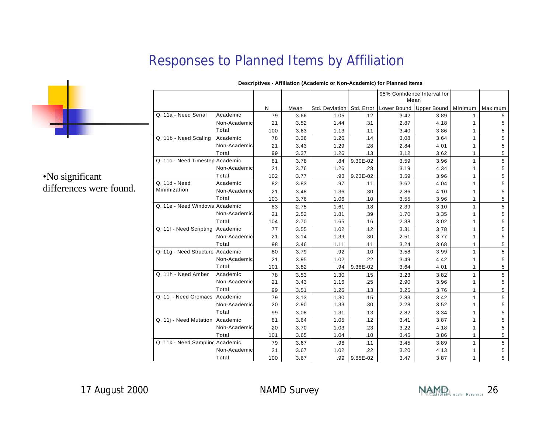#### Responses to Planned Items by Affiliation

![](_page_25_Picture_1.jpeg)

#### •No significant differences were found.

|                                  |              |     |      |                             |          | 95% Confidence Interval for |                    |         |         |
|----------------------------------|--------------|-----|------|-----------------------------|----------|-----------------------------|--------------------|---------|---------|
|                                  |              |     |      |                             |          | Mean                        |                    |         |         |
|                                  |              | N   | Mean | Std. Deviation   Std. Error |          | Lower Bound                 | <b>Upper Bound</b> | Minimum | Maximum |
| Q. 11a - Need Serial             | Academic     | 79  | 3.66 | 1.05                        | .12      | 3.42                        | 3.89               | 1       | 5       |
|                                  | Non-Academic | 21  | 3.52 | 1.44                        | .31      | 2.87                        | 4.18               | 1       | 5       |
|                                  | Total        | 100 | 3.63 | 1.13                        | .11      | 3.40                        | 3.86               | 1       | 5       |
| Q. 11b - Need Scaling            | Academic     | 78  | 3.36 | 1.26                        | .14      | 3.08                        | 3.64               | 1       | 5       |
|                                  | Non-Academic | 21  | 3.43 | 1.29                        | .28      | 2.84                        | 4.01               | 1       | 5       |
|                                  | Total        | 99  | 3.37 | 1.26                        | .13      | 3.12                        | 3.62               | 1       | 5       |
| Q. 11c - Need Timester, Academic |              | 81  | 3.78 | .84                         | 9.30E-02 | 3.59                        | 3.96               | 1       | 5       |
|                                  | Non-Academic | 21  | 3.76 | 1.26                        | .28      | 3.19                        | 4.34               | 1       | 5       |
|                                  | Total        | 102 | 3.77 | .93                         | 9.23E-02 | 3.59                        | 3.96               | 1       | 5       |
| Q. 11d - Need                    | Academic     | 82  | 3.83 | .97                         | .11      | 3.62                        | 4.04               | 1       | 5       |
| Minimization                     | Non-Academic | 21  | 3.48 | 1.36                        | .30      | 2.86                        | 4.10               | 1       | 5       |
|                                  | Total        | 103 | 3.76 | 1.06                        | .10      | 3.55                        | 3.96               | 1       | 5       |
| Q. 11e - Need Windows Academic   |              | 83  | 2.75 | 1.61                        | .18      | 2.39                        | 3.10               | 1       | 5       |
|                                  | Non-Academic | 21  | 2.52 | 1.81                        | .39      | 1.70                        | 3.35               | 1       | 5       |
|                                  | Total        | 104 | 2.70 | 1.65                        | .16      | 2.38                        | 3.02               | 1       | 5       |
| Q. 11f - Need Scripting Academic |              | 77  | 3.55 | 1.02                        | .12      | 3.31                        | 3.78               | 1       | 5       |
|                                  | Non-Academic | 21  | 3.14 | 1.39                        | .30      | 2.51                        | 3.77               | 1       | 5       |
|                                  | Total        | 98  | 3.46 | 1.11                        | .11      | 3.24                        | 3.68               | 1       | 5       |
| Q. 11g - Need Structure Academic |              | 80  | 3.79 | .92                         | .10      | 3.58                        | 3.99               | 1       | 5       |
|                                  | Non-Academic | 21  | 3.95 | 1.02                        | .22      | 3.49                        | 4.42               | 1       | 5       |
|                                  | Total        | 101 | 3.82 | .94                         | 9.38E-02 | 3.64                        | 4.01               | 1       | 5       |
| Q. 11h - Need Amber              | Academic     | 78  | 3.53 | 1.30                        | .15      | 3.23                        | 3.82               | 1       | 5       |
|                                  | Non-Academic | 21  | 3.43 | 1.16                        | .25      | 2.90                        | 3.96               | 1       | 5       |
|                                  | Total        | 99  | 3.51 | 1.26                        | .13      | 3.25                        | 3.76               | 1       | 5       |
| Q. 11i - Need Gromacs Academic   |              | 79  | 3.13 | 1.30                        | .15      | 2.83                        | 3.42               | 1       | 5       |
|                                  | Non-Academic | 20  | 2.90 | 1.33                        | .30      | 2.28                        | 3.52               | 1       | 5       |
|                                  | Total        | 99  | 3.08 | 1.31                        | .13      | 2.82                        | 3.34               | 1       | 5       |
| Q. 11j - Need Mutation Academic  |              | 81  | 3.64 | 1.05                        | .12      | 3.41                        | 3.87               | 1       | 5       |
|                                  | Non-Academic | 20  | 3.70 | 1.03                        | .23      | 3.22                        | 4.18               | 1       | 5       |
|                                  | Total        | 101 | 3.65 | 1.04                        | .10      | 3.45                        | 3.86               | 1       | 5       |
| Q. 11k - Need Samplinc Academic  |              | 79  | 3.67 | .98                         | .11      | 3.45                        | 3.89               | 1       | 5       |
|                                  | Non-Academic | 21  | 3.67 | 1.02                        | .22      | 3.20                        | 4.13               | 1       | 5       |
|                                  | Total        | 100 | 3.67 | .99                         | 9.85E-02 | 3.47                        | 3.87               |         | 5       |

#### **Descriptives - Affiliation (Academic or Non-Academic) for Planned Items**

![](_page_25_Picture_7.jpeg)